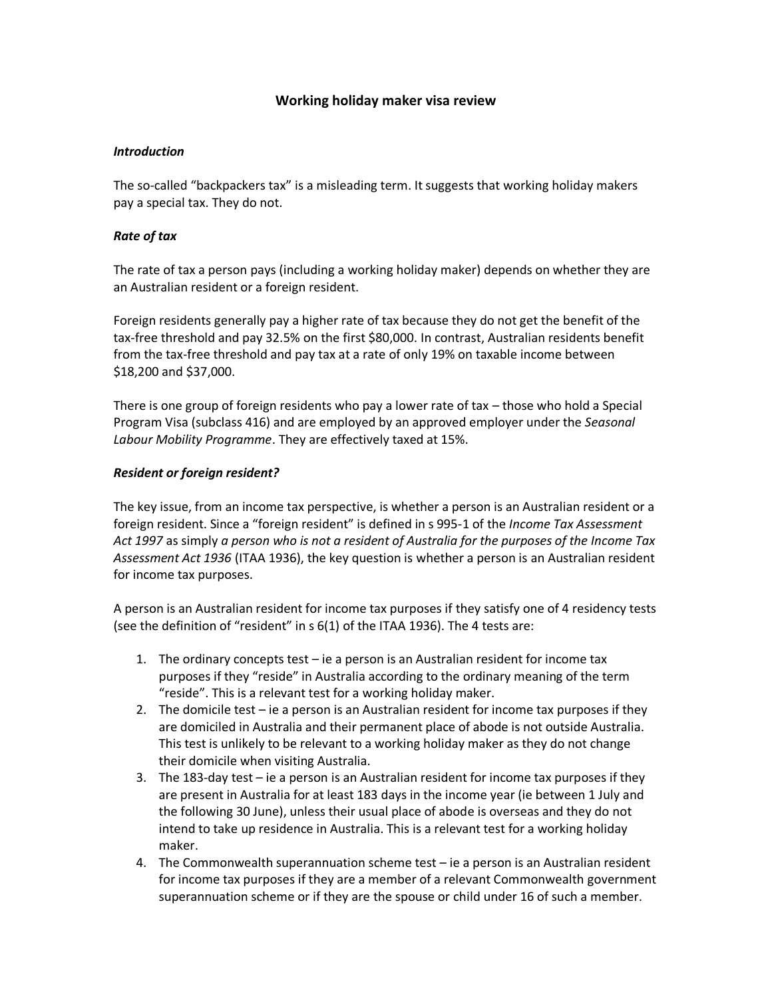# **Working holiday maker visa review**

## *Introduction*

The so-called "backpackers tax" is a misleading term. It suggests that working holiday makers pay a special tax. They do not.

### *Rate of tax*

The rate of tax a person pays (including a working holiday maker) depends on whether they are an Australian resident or a foreign resident.

Foreign residents generally pay a higher rate of tax because they do not get the benefit of the tax-free threshold and pay 32.5% on the first \$80,000. In contrast, Australian residents benefit from the tax-free threshold and pay tax at a rate of only 19% on taxable income between \$18,200 and \$37,000.

There is one group of foreign residents who pay a lower rate of tax – those who hold a Special Program Visa (subclass 416) and are employed by an approved employer under the *Seasonal Labour Mobility Programme*. They are effectively taxed at 15%.

### *Resident or foreign resident?*

The key issue, from an income tax perspective, is whether a person is an Australian resident or a foreign resident. Since a "foreign resident" is defined in s 995-1 of the *Income Tax Assessment Act 1997* as simply *a person who is not a resident of Australia for the purposes of the Income Tax Assessment Act 1936* (ITAA 1936), the key question is whether a person is an Australian resident for income tax purposes.

A person is an Australian resident for income tax purposes if they satisfy one of 4 residency tests (see the definition of "resident" in s 6(1) of the ITAA 1936). The 4 tests are:

- 1. The ordinary concepts test ie a person is an Australian resident for income tax purposes if they "reside" in Australia according to the ordinary meaning of the term "reside". This is a relevant test for a working holiday maker.
- 2. The domicile test ie a person is an Australian resident for income tax purposes if they are domiciled in Australia and their permanent place of abode is not outside Australia. This test is unlikely to be relevant to a working holiday maker as they do not change their domicile when visiting Australia.
- 3. The 183-day test ie a person is an Australian resident for income tax purposes if they are present in Australia for at least 183 days in the income year (ie between 1 July and the following 30 June), unless their usual place of abode is overseas and they do not intend to take up residence in Australia. This is a relevant test for a working holiday maker.
- 4. The Commonwealth superannuation scheme test ie a person is an Australian resident for income tax purposes if they are a member of a relevant Commonwealth government superannuation scheme or if they are the spouse or child under 16 of such a member.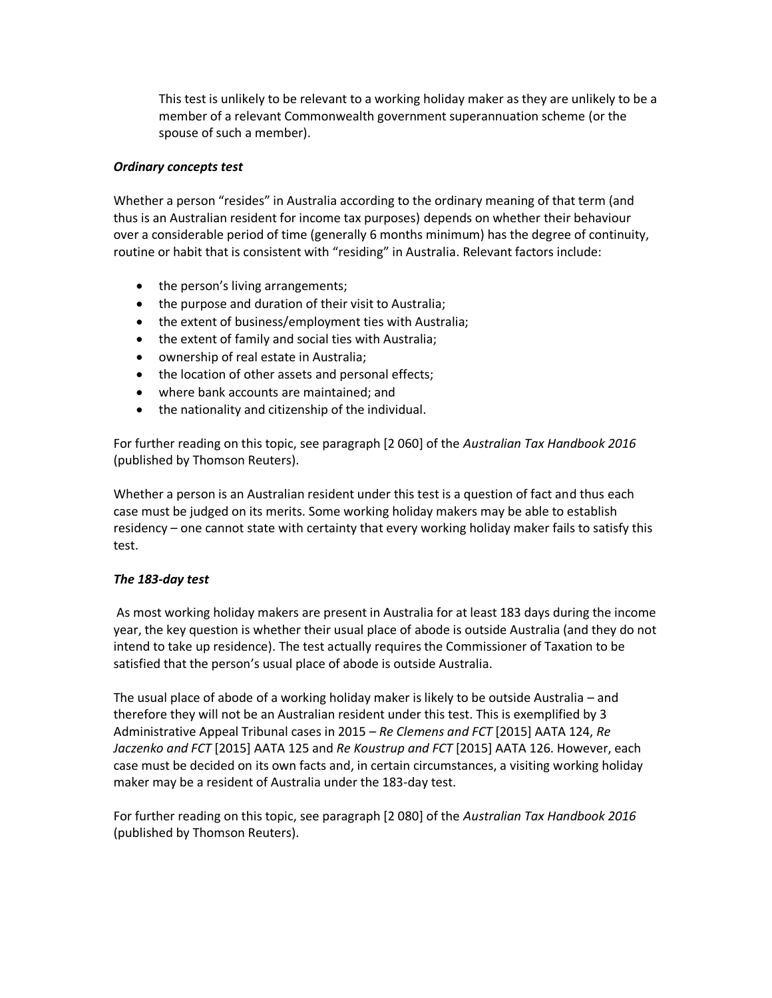This test is unlikely to be relevant to a working holiday maker as they are unlikely to be a member of a relevant Commonwealth government superannuation scheme (or the spouse of such a member).

## *Ordinary concepts test*

Whether a person "resides" in Australia according to the ordinary meaning of that term (and thus is an Australian resident for income tax purposes) depends on whether their behaviour over a considerable period of time (generally 6 months minimum) has the degree of continuity, routine or habit that is consistent with "residing" in Australia. Relevant factors include:

- the person's living arrangements;
- the purpose and duration of their visit to Australia;
- the extent of business/employment ties with Australia;
- the extent of family and social ties with Australia;
- ownership of real estate in Australia;
- the location of other assets and personal effects;
- where bank accounts are maintained; and
- the nationality and citizenship of the individual.

For further reading on this topic, see paragraph [2 060] of the *Australian Tax Handbook 2016* (published by Thomson Reuters).

Whether a person is an Australian resident under this test is a question of fact and thus each case must be judged on its merits. Some working holiday makers may be able to establish residency – one cannot state with certainty that every working holiday maker fails to satisfy this test.

## *The 183-day test*

As most working holiday makers are present in Australia for at least 183 days during the income year, the key question is whether their usual place of abode is outside Australia (and they do not intend to take up residence). The test actually requires the Commissioner of Taxation to be satisfied that the person's usual place of abode is outside Australia.

The usual place of abode of a working holiday maker is likely to be outside Australia – and therefore they will not be an Australian resident under this test. This is exemplified by 3 Administrative Appeal Tribunal cases in 2015 – *Re Clemens and FCT* [2015] AATA 124, *Re Jaczenko and FCT* [2015] AATA 125 and *Re Koustrup and FCT* [2015] AATA 126. However, each case must be decided on its own facts and, in certain circumstances, a visiting working holiday maker may be a resident of Australia under the 183-day test.

For further reading on this topic, see paragraph [2 080] of the *Australian Tax Handbook 2016* (published by Thomson Reuters).